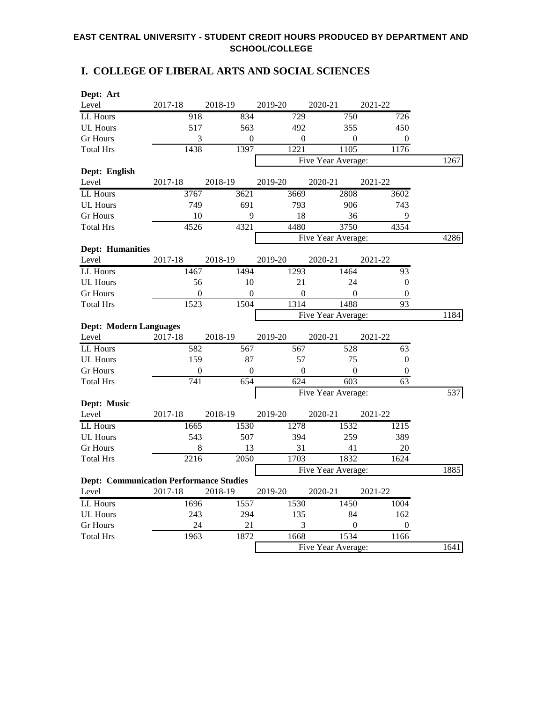### **I. COLLEGE OF LIBERAL ARTS AND SOCIAL SCIENCES**

| Dept: Art                                      |                  |                  |                  |                    |                  |      |
|------------------------------------------------|------------------|------------------|------------------|--------------------|------------------|------|
| Level                                          | 2017-18          | 2018-19          | 2019-20          | 2020-21            | 2021-22          |      |
| LL Hours                                       | 918              | 834              | 729              | 750                | 726              |      |
| <b>UL Hours</b>                                | 517              | 563              | 492              | 355                | 450              |      |
| <b>Gr Hours</b>                                | 3                | $\boldsymbol{0}$ | $\boldsymbol{0}$ | $\boldsymbol{0}$   | $\boldsymbol{0}$ |      |
| <b>Total Hrs</b>                               | 1438             | 1397             | 1221             | 1105               | 1176             |      |
|                                                |                  |                  |                  | Five Year Average: |                  | 1267 |
| Dept: English                                  |                  |                  |                  |                    |                  |      |
| Level                                          | 2017-18          | 2018-19          | 2019-20          | 2020-21            | 2021-22          |      |
| LL Hours                                       | 3767             | 3621             | 3669             | 2808               | 3602             |      |
| <b>UL Hours</b>                                | 749              | 691              | 793              | 906                | 743              |      |
| <b>Gr</b> Hours                                | 10               | 9                | 18               | 36                 | 9                |      |
| <b>Total Hrs</b>                               | 4526             | 4321             | 4480             | 3750               | 4354             |      |
|                                                |                  |                  |                  | Five Year Average: |                  | 4286 |
| <b>Dept: Humanities</b>                        |                  |                  |                  |                    |                  |      |
| Level                                          | 2017-18          | 2018-19          | 2019-20          | 2020-21            | 2021-22          |      |
| LL Hours                                       | 1467             | 1494             | 1293             | 1464               | 93               |      |
| <b>UL Hours</b>                                | 56               | 10               | 21               | 24                 | $\boldsymbol{0}$ |      |
| <b>Gr</b> Hours                                | $\boldsymbol{0}$ | $\boldsymbol{0}$ | $\overline{0}$   | $\Omega$           | $\boldsymbol{0}$ |      |
| <b>Total Hrs</b>                               | 1523             | 1504             | 1314             | 1488               | $\overline{93}$  |      |
|                                                |                  |                  |                  | Five Year Average: |                  | 1184 |
| <b>Dept: Modern Languages</b>                  |                  |                  |                  |                    |                  |      |
| Level                                          | 2017-18          | 2018-19          | 2019-20          | 2020-21            | 2021-22          |      |
| LL Hours                                       | 582              | 567              | $\overline{567}$ | 528                | 63               |      |
| <b>UL Hours</b>                                | 159              | 87               | 57               | 75                 | $\boldsymbol{0}$ |      |
| <b>Gr Hours</b>                                | $\theta$         | $\boldsymbol{0}$ | $\mathbf{0}$     | $\boldsymbol{0}$   | $\boldsymbol{0}$ |      |
| <b>Total Hrs</b>                               | 741              | 654              | 624              | 603                | 63               |      |
|                                                |                  |                  |                  | Five Year Average: |                  | 537  |
| Dept: Music                                    |                  |                  |                  |                    |                  |      |
| Level                                          | 2017-18          | 2018-19          | 2019-20          | 2020-21            | 2021-22          |      |
| LL Hours                                       | 1665             | 1530             | 1278             | 1532               | 1215             |      |
| <b>UL Hours</b>                                | 543              | 507              | 394              | 259                | 389              |      |
| <b>Gr Hours</b>                                | 8                | 13               | 31               | 41                 | 20               |      |
| <b>Total Hrs</b>                               | 2216             | 2050             | 1703             | 1832               | 1624             |      |
|                                                |                  |                  |                  | Five Year Average: |                  | 1885 |
| <b>Dept: Communication Performance Studies</b> |                  |                  |                  |                    |                  |      |
| Level                                          | 2017-18          | 2018-19          | 2019-20          | 2020-21            | 2021-22          |      |
| LL Hours                                       | 1696             | 1557             | 1530             | 1450               | 1004             |      |
| <b>UL Hours</b>                                | 243              | 294              | 135              | 84                 | 162              |      |
| <b>Gr Hours</b>                                | 24               | 21               | 3                | $\boldsymbol{0}$   | 0                |      |
| <b>Total Hrs</b>                               | 1963             | 1872             | 1668             | 1534               | 1166             |      |
|                                                |                  |                  |                  | Five Year Average: |                  | 1641 |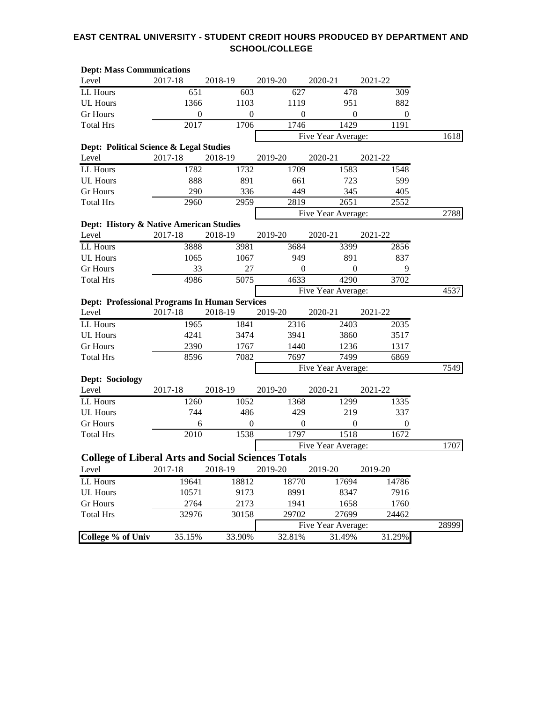| <b>Dept: Mass Communications</b>                          |                  |                  |                  |                    |                  |       |
|-----------------------------------------------------------|------------------|------------------|------------------|--------------------|------------------|-------|
| Level                                                     | 2017-18          | 2018-19          | 2019-20          | 2020-21            | 2021-22          |       |
| LL Hours                                                  | 651              | 603              | 627              | 478                | 309              |       |
| <b>UL Hours</b>                                           | 1366             | 1103             | 1119             | 951                | 882              |       |
| <b>Gr</b> Hours                                           | $\boldsymbol{0}$ | $\boldsymbol{0}$ | $\boldsymbol{0}$ | $\overline{0}$     | $\boldsymbol{0}$ |       |
| <b>Total Hrs</b>                                          | 2017             | 1706             | 1746             | 1429               | 1191             |       |
|                                                           |                  |                  |                  | Five Year Average: |                  | 1618  |
| Dept: Political Science & Legal Studies                   |                  |                  |                  |                    |                  |       |
| Level                                                     | 2017-18          | 2018-19          | 2019-20          | 2020-21            | 2021-22          |       |
| LL Hours                                                  | 1782             | 1732             | 1709             | 1583               | 1548             |       |
| <b>UL Hours</b>                                           | 888              | 891              | 661              | 723                | 599              |       |
| <b>Gr Hours</b>                                           | 290              | 336              | 449              | 345                | 405              |       |
| <b>Total Hrs</b>                                          | 2960             | 2959             | 2819             | 2651               | 2552             |       |
|                                                           |                  |                  |                  | Five Year Average: |                  | 2788  |
| Dept: History & Native American Studies                   |                  |                  |                  |                    |                  |       |
| Level                                                     | 2017-18          | 2018-19          | 2019-20          | 2020-21            | 2021-22          |       |
| LL Hours                                                  | 3888             | 3981             | 3684             | 3399               | 2856             |       |
| <b>UL Hours</b>                                           | 1065             | 1067             | 949              | 891                | 837              |       |
| <b>Gr</b> Hours                                           | 33               | 27               | 0                | $\boldsymbol{0}$   | 9                |       |
| <b>Total Hrs</b>                                          | 4986             | 5075             | 4633             | 4290               | 3702             |       |
|                                                           |                  |                  |                  | Five Year Average: |                  | 4537  |
| <b>Dept: Professional Programs In Human Services</b>      |                  |                  |                  |                    |                  |       |
| Level                                                     | 2017-18          | 2018-19          | 2019-20          | 2020-21            | 2021-22          |       |
| LL Hours                                                  | 1965             | 1841             | 2316             | 2403               | 2035             |       |
| <b>UL Hours</b>                                           | 4241             | 3474             | 3941             | 3860               | 3517             |       |
| <b>Gr</b> Hours                                           | 2390             | 1767             | 1440             | 1236               | 1317             |       |
| <b>Total Hrs</b>                                          | 8596             | 7082             | 7697             | 7499               | 6869             |       |
|                                                           |                  |                  |                  | Five Year Average: |                  | 7549  |
| Dept: Sociology                                           |                  |                  |                  |                    |                  |       |
| Level                                                     | 2017-18          | 2018-19          | 2019-20          | 2020-21            | 2021-22          |       |
| LL Hours                                                  | 1260             | 1052             | 1368             | 1299               | 1335             |       |
| <b>UL Hours</b>                                           | 744              | 486              | 429              | 219                | 337              |       |
| <b>Gr Hours</b>                                           | 6                | $\boldsymbol{0}$ | 0                | $\boldsymbol{0}$   | $\boldsymbol{0}$ |       |
| <b>Total Hrs</b>                                          | 2010             | 1538             | 1797             | 1518               | 1672             |       |
|                                                           |                  |                  |                  | Five Year Average: |                  | 1707  |
| <b>College of Liberal Arts and Social Sciences Totals</b> |                  |                  |                  |                    |                  |       |
| Level                                                     | 2017-18          | 2018-19          | 2019-20          | 2019-20            | 2019-20          |       |
| LL Hours                                                  | 19641            | 18812            | 18770            | 17694              | 14786            |       |
| <b>UL Hours</b>                                           | 10571            | 9173             | 8991             | 8347               | 7916             |       |
| <b>Gr</b> Hours                                           | 2764             | 2173             | 1941             | 1658               | 1760             |       |
| <b>Total Hrs</b>                                          | 32976            | 30158            | 29702            | 27699              | 24462            |       |
|                                                           |                  |                  |                  | Five Year Average: |                  | 28999 |
| College % of Univ                                         | 35.15%           | 33.90%           | 32.81%           | 31.49%             | 31.29%           |       |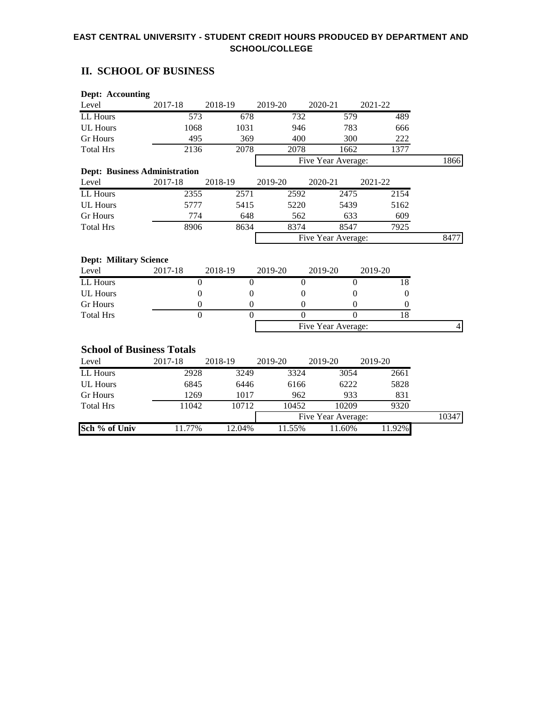## **II. SCHOOL OF BUSINESS**

| <b>Dept: Accounting</b>                |                  |                  |                  |                    |                  |                |
|----------------------------------------|------------------|------------------|------------------|--------------------|------------------|----------------|
| Level                                  | 2017-18          | 2018-19          | 2019-20          | 2020-21            | 2021-22          |                |
| LL Hours                               | $\overline{573}$ | 678              | 732              | 579                | 489              |                |
| <b>UL Hours</b>                        | 1068             | 1031             | 946              | 783                | 666              |                |
| <b>Gr</b> Hours                        | 495              | 369              | 400              | 300                | 222              |                |
| <b>Total Hrs</b>                       | 2136             | 2078             | 2078             | 1662               | 1377             |                |
|                                        |                  |                  |                  | Five Year Average: |                  | 1866           |
| <b>Dept: Business Administration</b>   |                  |                  |                  |                    |                  |                |
| Level                                  | 2017-18          | 2018-19          | 2019-20          | 2020-21            | 2021-22          |                |
| LL Hours                               | 2355             | 2571             | 2592             | 2475               | 2154             |                |
| <b>UL Hours</b>                        | 5777             | 5415             | 5220             | 5439               | 5162             |                |
| <b>Gr</b> Hours                        | 774              | 648              | 562              | 633                | 609              |                |
| <b>Total Hrs</b>                       | 8906             | 8634             | 8374             | 8547               | 7925             |                |
|                                        |                  |                  |                  | Five Year Average: |                  | 8477           |
| <b>Dept: Military Science</b><br>Level | 2017-18          | 2018-19          | 2019-20          | 2019-20            | 2019-20          |                |
| LL Hours                               | $\overline{0}$   | $\overline{0}$   | $\overline{0}$   | $\mathbf{0}$       | 18               |                |
| <b>UL Hours</b>                        | $\theta$         | $\theta$         | $\overline{0}$   | $\theta$           | $\boldsymbol{0}$ |                |
| <b>Gr Hours</b>                        | $\boldsymbol{0}$ | $\boldsymbol{0}$ | $\boldsymbol{0}$ | $\boldsymbol{0}$   | $\boldsymbol{0}$ |                |
| <b>Total Hrs</b>                       | $\theta$         | $\Omega$         | $\theta$         | $\theta$           | 18               |                |
|                                        |                  |                  |                  | Five Year Average: |                  | $\overline{4}$ |
| <b>School of Business Totals</b>       |                  |                  |                  |                    |                  |                |
| Level                                  | 2017-18          | 2018-19          | 2019-20          | 2019-20            | 2019-20          |                |
| LL Hours                               | 2928             | 3249             | 3324             | 3054               | 2661             |                |
| <b>UL Hours</b>                        | 6845             | 6446             | 6166             | 6222               | 5828             |                |
| <b>Gr</b> Hours                        | 1269             | 1017             | 962              | 933                | 831              |                |
| <b>Total Hrs</b>                       | 11042            | 10712            | 10452            | 10209              | 9320             |                |
|                                        |                  |                  |                  | Five Year Average: |                  | 10347          |
| Sch % of Univ                          | 11.77%           | 12.04%           | 11.55%           | 11.60%             | 11.92%           |                |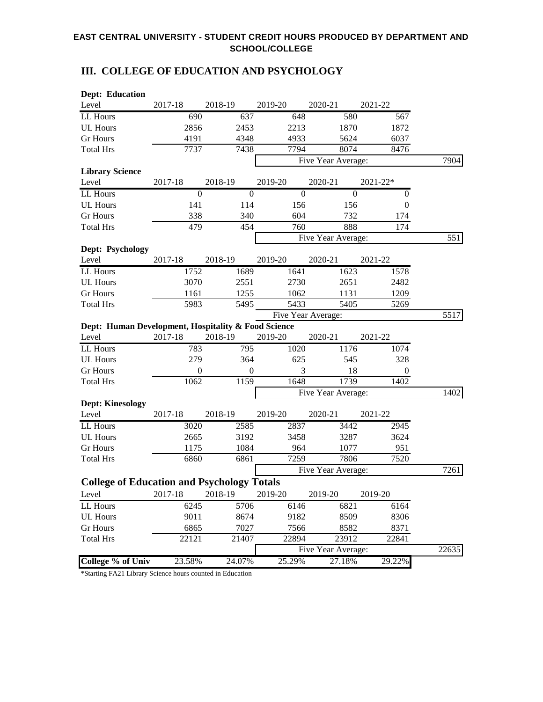# **III. COLLEGE OF EDUCATION AND PSYCHOLOGY**

| <b>Dept: Education</b>                              |                  |                  |              |                    |                  |       |
|-----------------------------------------------------|------------------|------------------|--------------|--------------------|------------------|-------|
| Level                                               | 2017-18          | 2018-19          | 2019-20      | 2020-21            | 2021-22          |       |
| LL Hours                                            | 690              | 637              | 648          | 580                | 567              |       |
| <b>UL Hours</b>                                     | 2856             | 2453             | 2213         | 1870               | 1872             |       |
| <b>Gr</b> Hours                                     | 4191             | 4348             | 4933         | 5624               | 6037             |       |
| <b>Total Hrs</b>                                    | 7737             | 7438             | 7794         | 8074               | 8476             |       |
|                                                     |                  |                  |              | Five Year Average: |                  | 7904  |
| <b>Library Science</b>                              |                  |                  |              |                    |                  |       |
| Level                                               | 2017-18          | 2018-19          | 2019-20      | 2020-21            | 2021-22*         |       |
| LL Hours                                            | $\boldsymbol{0}$ | $\overline{0}$   | $\mathbf{0}$ | $\boldsymbol{0}$   | $\boldsymbol{0}$ |       |
| <b>UL Hours</b>                                     | 141              | 114              | 156          | 156                | $\boldsymbol{0}$ |       |
| <b>Gr</b> Hours                                     | 338              | 340              | 604          | 732                | 174              |       |
| <b>Total Hrs</b>                                    | 479              | 454              | 760          | 888                | 174              |       |
|                                                     |                  |                  |              | Five Year Average: |                  | 551   |
| Dept: Psychology                                    |                  |                  |              |                    |                  |       |
| Level                                               | 2017-18          | 2018-19          | 2019-20      | 2020-21            | 2021-22          |       |
| LL Hours                                            | 1752             | 1689             | 1641         | 1623               | 1578             |       |
| <b>UL Hours</b>                                     | 3070             | 2551             | 2730         | 2651               | 2482             |       |
| <b>Gr</b> Hours                                     | 1161             | 1255             | 1062         | 1131               | 1209             |       |
| <b>Total Hrs</b>                                    | 5983             | 5495             | 5433         | 5405               | 5269             |       |
|                                                     |                  |                  |              | Five Year Average: |                  | 5517  |
| Dept: Human Development, Hospitality & Food Science |                  |                  |              |                    |                  |       |
| Level                                               | 2017-18          | 2018-19          | 2019-20      | 2020-21            | 2021-22          |       |
| LL Hours                                            | 783              | 795              | 1020         | 1176               | 1074             |       |
| <b>UL Hours</b>                                     | 279              | 364              | 625          | 545                | 328              |       |
| <b>Gr</b> Hours                                     | $\boldsymbol{0}$ | $\boldsymbol{0}$ | 3            | 18                 | $\boldsymbol{0}$ |       |
| <b>Total Hrs</b>                                    | 1062             | 1159             | 1648         | 1739               | 1402             |       |
|                                                     |                  |                  |              | Five Year Average: |                  | 1402  |
| <b>Dept: Kinesology</b>                             |                  |                  |              |                    |                  |       |
| Level                                               | 2017-18          | 2018-19          | 2019-20      | 2020-21            | 2021-22          |       |
| LL Hours                                            | 3020             | 2585             | 2837         | 3442               | 2945             |       |
| <b>UL Hours</b>                                     | 2665             | 3192             | 3458         | 3287               | 3624             |       |
| <b>Gr</b> Hours                                     | 1175             | 1084             | 964          | 1077               | 951              |       |
| <b>Total Hrs</b>                                    | 6860             | 6861             | 7259         | 7806               | 7520             |       |
|                                                     |                  |                  |              | Five Year Average: |                  | 7261  |
| <b>College of Education and Psychology Totals</b>   |                  |                  |              |                    |                  |       |
| Level                                               | 2017-18          | 2018-19          | 2019-20      | 2019-20            | 2019-20          |       |
| LL Hours                                            | 6245             | 5706             | 6146         | 6821               | 6164             |       |
| <b>UL Hours</b>                                     | 9011             | 8674             | 9182         | 8509               | 8306             |       |
| <b>Gr</b> Hours                                     | 6865             | 7027             | 7566         | 8582               | 8371             |       |
| <b>Total Hrs</b>                                    | 22121            | 21407            | 22894        | 23912              | 22841            |       |
|                                                     |                  |                  |              | Five Year Average: |                  | 22635 |
| <b>College % of Univ</b>                            | 23.58%           | 24.07%           | 25.29%       | 27.18%             | 29.22%           |       |

\*Starting FA21 Library Science hours counted in Education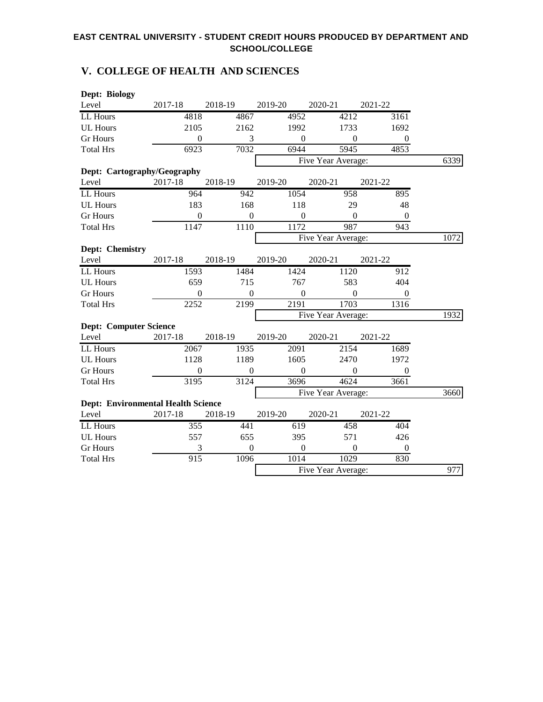# **V. COLLEGE OF HEALTH AND SCIENCES**

| Dept: Biology                             |                  |                  |                |                    |                  |      |
|-------------------------------------------|------------------|------------------|----------------|--------------------|------------------|------|
| Level                                     | 2017-18          | 2018-19          | 2019-20        | 2020-21            | 2021-22          |      |
| LL Hours                                  | 4818             | 4867             | 4952           | 4212               | 3161             |      |
| <b>UL Hours</b>                           | 2105             | 2162             | 1992           | 1733               | 1692             |      |
| <b>Gr Hours</b>                           | $\mathbf{0}$     | 3                | $\mathbf{0}$   | $\boldsymbol{0}$   | $\boldsymbol{0}$ |      |
| <b>Total Hrs</b>                          | 6923             | 7032             | 6944           | 5945               | 4853             |      |
|                                           |                  |                  |                | Five Year Average: |                  | 6339 |
| Dept: Cartography/Geography               |                  |                  |                |                    |                  |      |
| Level                                     | 2017-18          | 2018-19          | 2019-20        | 2020-21            | 2021-22          |      |
| LL Hours                                  | 964              | 942              | 1054           | 958                | 895              |      |
| <b>UL Hours</b>                           | 183              | 168              | 118            | 29                 | 48               |      |
| <b>Gr</b> Hours                           | $\mathbf{0}$     | $\boldsymbol{0}$ | $\mathbf{0}$   | $\boldsymbol{0}$   | $\boldsymbol{0}$ |      |
| <b>Total Hrs</b>                          | 1147             | 1110             | 1172           | 987                | 943              |      |
|                                           |                  |                  |                | Five Year Average: |                  | 1072 |
| Dept: Chemistry                           |                  |                  |                |                    |                  |      |
| Level                                     | 2017-18          | 2018-19          | 2019-20        | 2020-21            | 2021-22          |      |
| LL Hours                                  | 1593             | 1484             | 1424           | 1120               | 912              |      |
| <b>UL Hours</b>                           | 659              | 715              | 767            | 583                | 404              |      |
| <b>Gr</b> Hours                           | $\boldsymbol{0}$ | $\boldsymbol{0}$ | $\mathbf{0}$   | $\boldsymbol{0}$   | $\boldsymbol{0}$ |      |
| <b>Total Hrs</b>                          | 2252             | 2199             | 2191           | 1703               | 1316             |      |
|                                           |                  |                  |                | Five Year Average: |                  | 1932 |
| <b>Dept: Computer Science</b>             |                  |                  |                |                    |                  |      |
| Level                                     | 2017-18          | 2018-19          | 2019-20        | 2020-21            | 2021-22          |      |
| LL Hours                                  | 2067             | 1935             | 2091           | 2154               | 1689             |      |
| <b>UL Hours</b>                           | 1128             | 1189             | 1605           | 2470               | 1972             |      |
| <b>Gr</b> Hours                           | $\boldsymbol{0}$ | $\boldsymbol{0}$ | $\overline{0}$ | $\boldsymbol{0}$   | $\boldsymbol{0}$ |      |
| <b>Total Hrs</b>                          | 3195             | 3124             | 3696           | 4624               | 3661             |      |
|                                           |                  |                  |                | Five Year Average: |                  | 3660 |
| <b>Dept: Environmental Health Science</b> |                  |                  |                |                    |                  |      |
| Level                                     | 2017-18          | 2018-19          | 2019-20        | 2020-21            | 2021-22          |      |
| LL Hours                                  | 355              | 441              | 619            | 458                | 404              |      |
| <b>UL Hours</b>                           | 557              | 655              | 395            | 571                | 426              |      |
| <b>Gr</b> Hours                           | 3                | $\boldsymbol{0}$ | $\overline{0}$ | $\boldsymbol{0}$   | $\boldsymbol{0}$ |      |
| <b>Total Hrs</b>                          | $\overline{915}$ | 1096             | 1014           | 1029               | 830              |      |
|                                           |                  |                  |                | Five Year Average: |                  | 977  |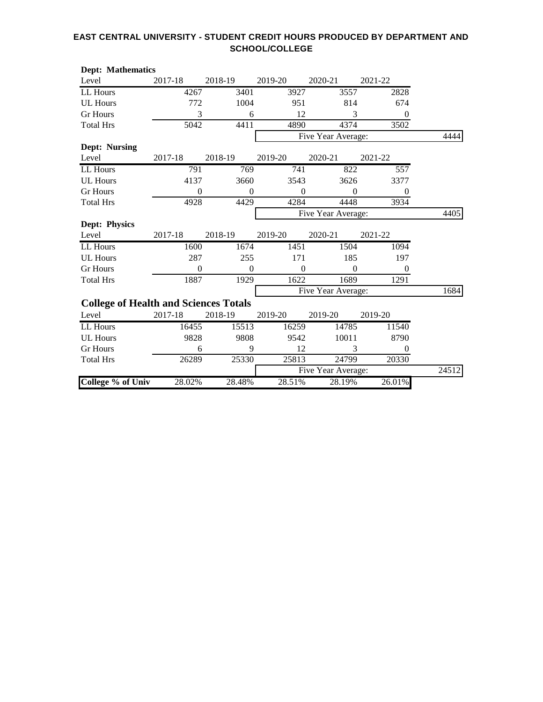| <b>Dept: Mathematics</b>                     |                |                  |                |                    |                  |       |
|----------------------------------------------|----------------|------------------|----------------|--------------------|------------------|-------|
| Level                                        | 2017-18        | 2018-19          | 2019-20        | 2020-21            | 2021-22          |       |
| LL Hours                                     | 4267           | 3401             | 3927           | 3557               | 2828             |       |
| <b>UL Hours</b>                              | 772            | 1004             | 951            | 814                | 674              |       |
| <b>Gr</b> Hours                              | 3              | 6                | 12             | 3                  | $\boldsymbol{0}$ |       |
| <b>Total Hrs</b>                             | 5042           | 4411             | 4890           | 4374               | 3502             |       |
|                                              |                |                  |                | Five Year Average: |                  | 4444  |
| <b>Dept: Nursing</b>                         |                |                  |                |                    |                  |       |
| Level                                        | 2017-18        | 2018-19          | 2019-20        | 2020-21            | 2021-22          |       |
| LL Hours                                     | 791            | 769              | 741            | 822                | $\overline{557}$ |       |
| <b>UL Hours</b>                              | 4137           | 3660             | 3543           | 3626               | 3377             |       |
| <b>Gr Hours</b>                              | $\theta$       | $\theta$         | $\theta$       | $\theta$           | $\boldsymbol{0}$ |       |
| <b>Total Hrs</b>                             | 4928           | 4429             | 4284           | 4448               | 3934             |       |
|                                              |                |                  |                | Five Year Average: |                  | 4405  |
| <b>Dept: Physics</b>                         |                |                  |                |                    |                  |       |
| Level                                        | 2017-18        | 2018-19          | 2019-20        | 2020-21            | 2021-22          |       |
| LL Hours                                     | 1600           | 1674             | 1451           | 1504               | 1094             |       |
| <b>UL Hours</b>                              | 287            | 255              | 171            | 185                | 197              |       |
| <b>Gr</b> Hours                              | $\overline{0}$ | $\boldsymbol{0}$ | $\overline{0}$ | $\theta$           | $\overline{0}$   |       |
| <b>Total Hrs</b>                             | 1887           | 1929             | 1622           | 1689               | 1291             |       |
|                                              |                |                  |                | Five Year Average: |                  | 1684  |
| <b>College of Health and Sciences Totals</b> |                |                  |                |                    |                  |       |
| Level                                        | 2017-18        | 2018-19          | 2019-20        | 2019-20            | 2019-20          |       |
| LL Hours                                     | 16455          | 15513            | 16259          | 14785              | 11540            |       |
| <b>UL Hours</b>                              | 9828           | 9808             | 9542           | 10011              | 8790             |       |
| <b>Gr Hours</b>                              | 6              | 9                | 12             | 3                  | 0                |       |
| <b>Total Hrs</b>                             | 26289          | 25330            | 25813          | 24799              | 20330            |       |
|                                              |                |                  |                | Five Year Average: |                  | 24512 |
| <b>College % of Univ</b>                     | 28.02%         | 28.48%           | 28.51%         | 28.19%             | 26.01%           |       |